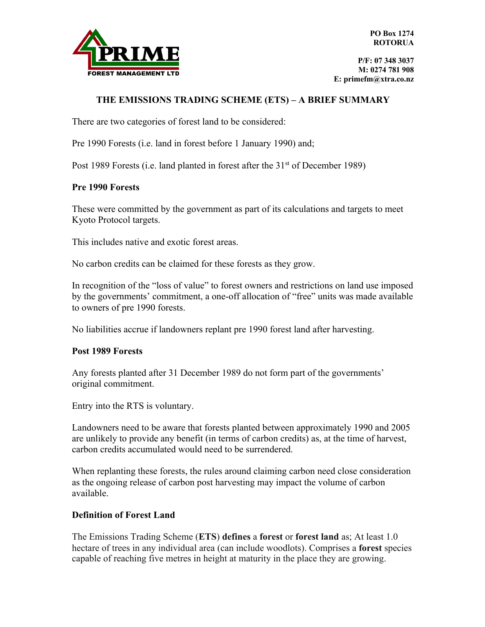

## **THE EMISSIONS TRADING SCHEME (ETS) – A BRIEF SUMMARY**

There are two categories of forest land to be considered:

Pre 1990 Forests (i.e. land in forest before 1 January 1990) and;

Post 1989 Forests (i.e. land planted in forest after the 31<sup>st</sup> of December 1989)

#### **Pre 1990 Forests**

These were committed by the government as part of its calculations and targets to meet Kyoto Protocol targets.

This includes native and exotic forest areas.

No carbon credits can be claimed for these forests as they grow.

In recognition of the "loss of value" to forest owners and restrictions on land use imposed by the governments' commitment, a one-off allocation of "free" units was made available to owners of pre 1990 forests.

No liabilities accrue if landowners replant pre 1990 forest land after harvesting.

#### **Post 1989 Forests**

Any forests planted after 31 December 1989 do not form part of the governments' original commitment.

Entry into the RTS is voluntary.

Landowners need to be aware that forests planted between approximately 1990 and 2005 are unlikely to provide any benefit (in terms of carbon credits) as, at the time of harvest, carbon credits accumulated would need to be surrendered.

When replanting these forests, the rules around claiming carbon need close consideration as the ongoing release of carbon post harvesting may impact the volume of carbon available.

### **Definition of Forest Land**

The Emissions Trading Scheme (**ETS**) **defines** a **forest** or **forest land** as; At least 1.0 hectare of trees in any individual area (can include woodlots). Comprises a **forest** species capable of reaching five metres in height at maturity in the place they are growing.